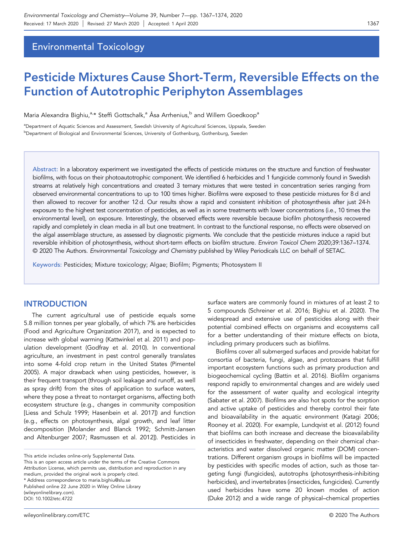# Environmental Toxicology

# Pesticide Mixtures Cause Short‐Term, Reversible Effects on the Function of Autotrophic Periphyton Assemblages

Maria Alexandra Bighiu,<sup>a,</sup>\* Steffi Gottschalk,<sup>a</sup> Åsa Arrhenius,<sup>b</sup> and Willem Goedkoop<sup>a</sup>

<sup>a</sup>Department of Aquatic Sciences and Assessment, Swedish University of Agricultural Sciences, Uppsala, Sweden **bDepartment of Biological and Environmental Sciences, University of Gothenburg, Gothenburg, Sweden** 

Abstract: In a laboratory experiment we investigated the effects of pesticide mixtures on the structure and function of freshwater biofilms, with focus on their photoautotrophic component. We identified 6 herbicides and 1 fungicide commonly found in Swedish streams at relatively high concentrations and created 3 ternary mixtures that were tested in concentration series ranging from observed environmental concentrations to up to 100 times higher. Biofilms were exposed to these pesticide mixtures for 8 d and then allowed to recover for another 12 d. Our results show a rapid and consistent inhibition of photosynthesis after just 24‐h exposure to the highest test concentration of pesticides, as well as in some treatments with lower concentrations (i.e., 10 times the environmental level), on exposure. Interestingly, the observed effects were reversible because biofilm photosynthesis recovered rapidly and completely in clean media in all but one treatment. In contrast to the functional response, no effects were observed on the algal assemblage structure, as assessed by diagnostic pigments. We conclude that the pesticide mixtures induce a rapid but reversible inhibition of photosynthesis, without short-term effects on biofilm structure. Environ Toxicol Chem 2020;39:1367-1374. © 2020 The Authors. Environmental Toxicology and Chemistry published by Wiley Periodicals LLC on behalf of SETAC.

Keywords: Pesticides; Mixture toxicology; Algae; Biofilm; Pigments; Photosystem II

# **INTRODUCTION**

The current agricultural use of pesticide equals some 5.8 million tonnes per year globally, of which 7% are herbicides (Food and Agriculture Organization 2017), and is expected to increase with global warming (Kattwinkel et al. 2011) and population development (Godfray et al. 2010). In conventional agriculture, an investment in pest control generally translates into some 4‐fold crop return in the United States (Pimentel 2005). A major drawback when using pesticides, however, is their frequent transport (through soil leakage and runoff, as well as spray drift) from the sites of application to surface waters, where they pose a threat to nontarget organisms, affecting both ecosystem structure (e.g., changes in community composition [Liess and Schulz 1999; Hasenbein et al. 2017]) and function (e.g., effects on photosynthesis, algal growth, and leaf litter decomposition [Molander and Blanck 1992; Schmitt‐Jansen and Altenburger 2007; Rasmussen et al. 2012]). Pesticides in

This article includes online‐only Supplemental Data. This is an open access article under the terms of the Creative Commons Attribution License, which permits use, distribution and reproduction in any medium, provided the original work is properly cited. Published online 22 June 2020 in Wiley Online Library (wileyonlinelibrary.com). DOI: 10.1002/etc.4722 \* Address correspondence to [maria.bighiu@slu.se](mailto:maria.bighiu@slu.se)

surface waters are commonly found in mixtures of at least 2 to 5 compounds (Schreiner et al. 2016; Bighiu et al. 2020). The widespread and extensive use of pesticides along with their potential combined effects on organisms and ecosystems call for a better understanding of their mixture effects on biota, including primary producers such as biofilms.

Biofilms cover all submerged surfaces and provide habitat for consortia of bacteria, fungi, algae, and protozoans that fulfill important ecosystem functions such as primary production and biogeochemical cycling (Battin et al. 2016). Biofilm organisms respond rapidly to environmental changes and are widely used for the assessment of water quality and ecological integrity (Sabater et al. 2007). Biofilms are also hot spots for the sorption and active uptake of pesticides and thereby control their fate and bioavailability in the aquatic environment (Katagi 2006; Rooney et al. 2020). For example, Lundqvist et al. (2012) found that biofilms can both increase and decrease the bioavailability of insecticides in freshwater, depending on their chemical characteristics and water dissolved organic matter (DOM) concentrations. Different organism groups in biofilms will be impacted by pesticides with specific modes of action, such as those targeting fungi (fungicides), autotrophs (photosynthesis‐inhibiting herbicides), and invertebrates (insecticides, fungicides). Currently used herbicides have some 20 known modes of action (Duke 2012) and a wide range of physical–chemical properties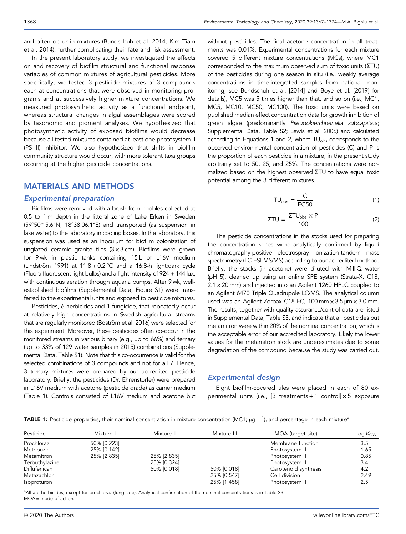In the present laboratory study, we investigated the effects on and recovery of biofilm structural and functional response variables of common mixtures of agricultural pesticides. More specifically, we tested 3 pesticide mixtures of 3 compounds each at concentrations that were observed in monitoring programs and at successively higher mixture concentrations. We measured photosynthetic activity as a functional endpoint, whereas structural changes in algal assemblages were scored by taxonomic and pigment analyses. We hypothesized that photosynthetic activity of exposed biofilms would decrease because all tested mixtures contained at least one photosystem II (PS II) inhibitor. We also hypothesized that shifts in biofilm community structure would occur, with more tolerant taxa groups occurring at the higher pesticide concentrations.

## MATERIALS AND METHODS

#### Experimental preparation

Biofilms were removed with a brush from cobbles collected at 0.5 to 1 m depth in the littoral zone of Lake Erken in Sweden (59°50′15.6″N, 18°38′06.1″E) and transported (as suspension in lake water) to the laboratory in cooling boxes. In the laboratory, this suspension was used as an inoculum for biofilm colonization of unglazed ceramic granite tiles  $(3 \times 3 \text{ cm})$ . Biofilms were grown for 9 wk in plastic tanks containing 15L of L16V medium (Lindström 1991) at  $11.8 \pm 0.2$  °C and a 16:8-h light:dark cycle (Fluora fluorescent light bulbs) and a light intensity of 924  $\pm$  144 lux, with continuous aeration through aquaria pumps. After 9 wk, wellestablished biofilms (Supplemental Data, Figure S1) were transferred to the experimental units and exposed to pesticide mixtures.

Pesticides, 6 herbicides and 1 fungicide, that repeatedly occur at relatively high concentrations in Swedish agricultural streams that are regularly monitored (Boström et al. 2016) were selected for this experiment. Moreover, these pesticides often co‐occur in the monitored streams in various binary (e.g., up to 66%) and ternary (up to 33% of 129 water samples in 2015) combinations (Supplemental Data, Table S1). Note that this co-occurrence is valid for the selected combinations of 3 compounds and not for all 7. Hence, 3 ternary mixtures were prepared by our accredited pesticide laboratory. Briefly, the pesticides (Dr. Ehrenstorfer) were prepared in L16V medium with acetone (pesticide grade) as carrier medium (Table 1). Controls consisted of L16V medium and acetone but without pesticides. The final acetone concentration in all treatments was 0.01%. Experimental concentrations for each mixture covered 5 different mixture concentrations (MCs), where MC1 corresponded to the maximum observed sum of toxic units (ΣTU) of the pesticides during one season in situ (i.e., weekly average concentrations in time‐integrated samples from national monitoring; see Bundschuh et al. [2014] and Boye et al. [2019] for details), MC5 was 5 times higher than that, and so on (i.e., MC1, MC5, MC10, MC50, MC100). The toxic units were based on published median effect concentration data for growth inhibition of green algae (predominantly Pseudokierchneriella subcapitata; Supplemental Data, Table S2; Lewis et al. 2006) and calculated according to Equations 1 and 2, where TU<sub>obs</sub> corresponds to the observed environmental concentration of pesticides (C) and P is the proportion of each pesticide in a mixture, in the present study arbitrarily set to 50, 25, and 25%. The concentrations were normalized based on the highest observed ΣTU to have equal toxic potential among the 3 different mixtures.

$$
TU_{\rm obs} = \frac{C}{EC50} \tag{1}
$$

$$
\Sigma T U = \frac{\Sigma T U_{\text{obs}} \times P}{100} \tag{2}
$$

The pesticide concentrations in the stocks used for preparing the concentration series were analytically confirmed by liquid chromatography‐positive electrospray ionization‐tandem mass spectrometry (LC-ESI-MS/MS) according to our accredited method. Briefly, the stocks (in acetone) were diluted with MilliQ water (pH 5), cleaned up using an online SPE system (Strata‐X, C18, 2.1 x 20 mm) and injected into an Agilent 1260 HPLC coupled to an Agilent 6470 Triple Quadrupole LC/MS. The analytical column used was an Agilent Zorbax C18-EC, 100 mm x 3.5 um x 3.0 mm. The results, together with quality assurance/control data are listed in Supplemental Data, Table S3, and indicate that all pesticides but metamitron were within 20% of the nominal concentration, which is the acceptable error of our accredited laboratory. Likely the lower values for the metamitron stock are underestimates due to some degradation of the compound because the study was carried out.

## Experimental design

Eight biofilm‐covered tiles were placed in each of 80 experimental units (i.e., [3 treatments  $+1$  control]  $\times$  5 exposure

TABLE 1: Pesticide properties, their nominal concentration in mixture concentration (MC1; µg L<sup>-1</sup>), and percentage in each mixture<sup>a</sup>

| Pesticide      | Mixture I   |             | Mixture III | MOA (target site)    | Log K <sub>OW</sub> |
|----------------|-------------|-------------|-------------|----------------------|---------------------|
| Prochloraz     | 50% [0.223] |             |             | Membrane function    | 3.5                 |
| Metribuzin     | 25% [0.142] |             |             | Photosystem II       | 1.65                |
| Metamitron     | 25% [2.835] | 25% [2.835] |             | Photosystem II       | 0.85                |
| Terbuthylazine |             | 25% [0.324] |             | Photosystem II       | 3.4                 |
| Diflufenican   |             | 50% [0.018] | 50% [0.018] | Carotenoid synthesis | 4.2                 |
| Metazachlor    |             |             | 25% [0.547] | Cell division        | 2.49                |
| Isoproturon    |             |             | 25% [1.458] | Photosystem II       | 2.5                 |

<sup>a</sup>All are herbicides, except for prochloraz (fungicide). Analytical confirmation of the nominal concentrations is in Table S3. MOA = mode of action.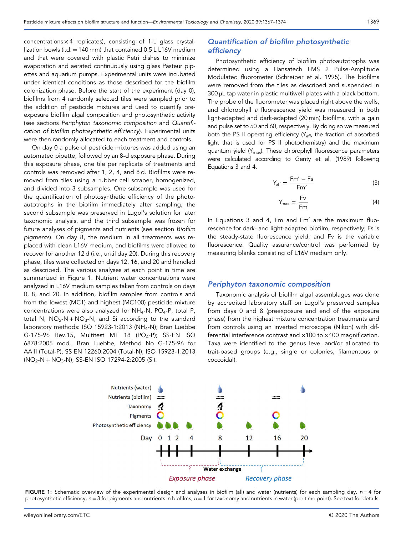concentrations × 4 replicates), consisting of 1‐L glass crystallization bowls (i.d. = 140 mm) that contained 0.5 L L16V medium and that were covered with plastic Petri dishes to minimize evaporation and aerated continuously using glass Pasteur pipettes and aquarium pumps. Experimental units were incubated under identical conditions as those described for the biofilm colonization phase. Before the start of the experiment (day 0), biofilms from 4 randomly selected tiles were sampled prior to the addition of pesticide mixtures and used to quantify preexposure biofilm algal composition and photosynthetic activity (see sections Periphyton taxonomic composition and Quantification of biofilm photosynthetic efficiency). Experimental units were then randomly allocated to each treatment and controls.

On day 0 a pulse of pesticide mixtures was added using an automated pipette, followed by an 8‐d exposure phase. During this exposure phase, one tile per replicate of treatments and controls was removed after 1, 2, 4, and 8 d. Biofilms were removed from tiles using a rubber cell scraper, homogenized, and divided into 3 subsamples. One subsample was used for the quantification of photosynthetic efficiency of the photoautotrophs in the biofilm immediately after sampling, the second subsample was preserved in Lugol's solution for later taxonomic analysis, and the third subsample was frozen for future analyses of pigments and nutrients (see section Biofilm pigments). On day 8, the medium in all treatments was replaced with clean L16V medium, and biofilms were allowed to recover for another 12 d (i.e., until day 20). During this recovery phase, tiles were collected on days 12, 16, and 20 and handled as described. The various analyses at each point in time are summarized in Figure 1. Nutrient water concentrations were analyzed in L16V medium samples taken from controls on days 0, 8, and 20. In addition, biofilm samples from controls and from the lowest (MC1) and highest (MC100) pesticide mixture concentrations were also analyzed for  $NH_4$ -N, PO<sub>4</sub>-P, total P, total N,  $NO<sub>2</sub> - N + NO<sub>3</sub> - N$ , and Si according to the standard laboratory methods: ISO 15923-1:2013 (NH<sub>4</sub>-N); Bran Luebbe G-175-96 Rev.15, Multitest MT 18 (PO<sub>4</sub>-P); SS-EN ISO 6878:2005 mod., Bran Luebbe, Method No G‐175‐96 for AAIII (Total‐P); SS EN 12260:2004 (Total‐N); ISO 15923‐1:2013 (NO2‐N + NO3‐N); SS‐EN ISO 17294‐2:2005 (Si).

# Quantification of biofilm photosynthetic efficiency

Photosynthetic efficiency of biofilm photoautotrophs was determined using a Hansatech FMS 2 Pulse‐Amplitude Modulated fluorometer (Schreiber et al. 1995). The biofilms were removed from the tiles as described and suspended in 300 µL tap water in plastic multiwell plates with a black bottom. The probe of the fluorometer was placed right above the wells, and chlorophyll a fluorescence yield was measured in both light‐adapted and dark‐adapted (20 min) biofilms, with a gain and pulse set to 50 and 60, respectively. By doing so we measured both the PS II operating efficiency  $(Y_{\text{eff}}$ , the fraction of absorbed light that is used for PS II photochemistry) and the maximum quantum yield (Y<sub>max</sub>). These chlorophyll fluorescence parameters were calculated according to Genty et al. (1989) following Equations 3 and 4.

$$
Y_{\rm eff} = \frac{Fm' - Fs}{Fm'}\tag{3}
$$

$$
Y_{\text{max}} = \frac{Fv}{Fm} \tag{4}
$$

In Equations 3 and 4, Fm and Fm′ are the maximum fluorescence for dark‐ and light‐adapted biofilm, respectively; Fs is the steady‐state fluorescence yield; and Fv is the variable fluorescence. Quality assurance/control was performed by measuring blanks consisting of L16V medium only.

#### Periphyton taxonomic composition

Taxonomic analysis of biofilm algal assemblages was done by accredited laboratory staff on Lugol's preserved samples from days 0 and 8 (preexposure and end of the exposure phase) from the highest mixture concentration treatments and from controls using an inverted microscope (Nikon) with differential interference contrast and ×100 to ×400 magnification. Taxa were identified to the genus level and/or allocated to trait‐based groups (e.g., single or colonies, filamentous or coccoidal).



FIGURE 1: Schematic overview of the experimental design and analyses in biofilm (all) and water (nutrients) for each sampling day.  $n = 4$  for photosynthetic efficiency,  $n = 3$  for pigments and nutrients in biofilms,  $n = 1$  for taxonomy and nutrients in water (per time point). See text for details.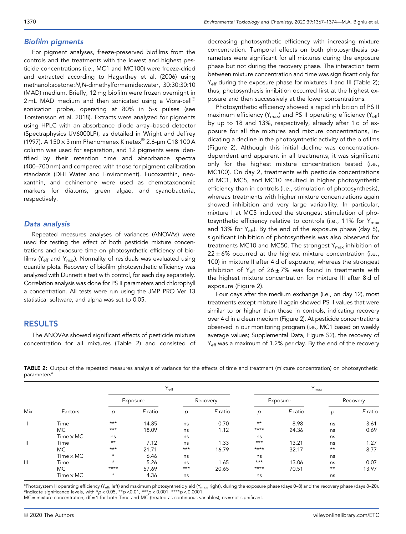### Biofilm pigments

For pigment analyses, freeze‐preserved biofilms from the controls and the treatments with the lowest and highest pesticide concentrations (i.e., MC1 and MC100) were freeze‐dried and extracted according to Hagerthey et al. (2006) using methanol:acetone:N,N‐dimethylformamide:water, 30:30:30:10 (MAD) medium. Briefly, 12 mg biofilm were frozen overnight in 2 mL MAD medium and then sonicated using a Vibra-cell<sup>®</sup> sonication probe, operating at 80% in 5‐s pulses (see Torstensson et al. 2018). Extracts were analyzed for pigments using HPLC with an absorbance diode array–based detector (Spectraphysics UV6000LP), as detailed in Wright and Jeffrey (1997). A 150  $\times$  3 mm Phenomenex Kinetex® 2.6-µm C18 100 A column was used for separation, and 12 pigments were identified by their retention time and absorbance spectra (400–700 nm) and compared with those for pigment calibration standards (DHI Water and Environment). Fucoxanthin, neoxanthin, and echinenone were used as chemotaxonomic markers for diatoms, green algae, and cyanobacteria, respectively.

## Data analysis

Repeated measures analyses of variances (ANOVAs) were used for testing the effect of both pesticide mixture concentrations and exposure time on photosynthetic efficiency of biofilms ( $Y_{\text{eff}}$  and  $Y_{\text{max}}$ ). Normality of residuals was evaluated using quantile plots. Recovery of biofilm photosynthetic efficiency was analyzed with Dunnett's test with control, for each day separately. Correlation analysis was done for PS II parameters and chlorophyll a concentration. All tests were run using the JMP PRO Ver 13 statistical software, and alpha was set to 0.05.

## RESULTS

The ANOVAs showed significant effects of pesticide mixture concentration for all mixtures (Table 2) and consisted of decreasing photosynthetic efficiency with increasing mixture concentration. Temporal effects on both photosynthesis parameters were significant for all mixtures during the exposure phase but not during the recovery phase. The interaction term between mixture concentration and time was significant only for Y<sub>eff</sub> during the exposure phase for mixtures II and III (Table 2); thus, photosynthesis inhibition occurred first at the highest exposure and then successively at the lower concentrations.

Photosynthetic efficiency showed a rapid inhibition of PS II maximum efficiency ( $Y_{\text{max}}$ ) and PS II operating efficiency ( $Y_{\text{eff}}$ ) by up to 18 and 13%, respectively, already after 1 d of exposure for all the mixtures and mixture concentrations, indicating a decline in the photosynthetic activity of the biofilms (Figure 2). Although this initial decline was concentration‐ dependent and apparent in all treatments, it was significant only for the highest mixture concentration tested (i.e., MC100). On day 2, treatments with pesticide concentrations of MC1, MC5, and MC10 resulted in higher photosynthetic efficiency than in controls (i.e., stimulation of photosynthesis), whereas treatments with higher mixture concentrations again showed inhibition and very large variability. In particular, mixture I at MC5 induced the strongest stimulation of photosynthetic efficiency relative to controls (i.e., 11% for Y<sub>max</sub> and 13% for  $Y_{\text{eff}}$ ). By the end of the exposure phase (day 8), significant inhibition of photosynthesis was also observed for treatments MC10 and MC50. The strongest Y<sub>max</sub> inhibition of  $22 \pm 6\%$  occurred at the highest mixture concentration (i.e., 100) in mixture II after 4 d of exposure, whereas the strongest inhibition of Y<sub>eff</sub> of 26 $\pm$ 7% was found in treatments with the highest mixture concentration for mixture III after 8 d of exposure (Figure 2).

Four days after the medium exchange (i.e., on day 12), most treatments except mixture II again showed PS II values that were similar to or higher than those in controls, indicating recovery over 4 d in a clean medium (Figure 2). At pesticide concentrations observed in our monitoring program (i.e., MC1 based on weekly average values; Supplemental Data, Figure S2), the recovery of Y<sub>eff</sub> was a maximum of 1.2% per day. By the end of the recovery

|                         |  |  |  | TABLE 2: Output of the repeated measures analysis of variance for the effects of time and treatment (mixture concentration) on photosynthetic |  |  |
|-------------------------|--|--|--|-----------------------------------------------------------------------------------------------------------------------------------------------|--|--|
| parameters <sup>a</sup> |  |  |  |                                                                                                                                               |  |  |

|                |                  |         | $Y_{\rm eff}$ |       |          |              | $Y_{\text{max}}$ |       |          |  |
|----------------|------------------|---------|---------------|-------|----------|--------------|------------------|-------|----------|--|
|                |                  |         | Exposure      |       | Recovery |              | Exposure         |       | Recovery |  |
| Mix            | Factors          | р       | F ratio       | p     | F ratio  | p            | F ratio          | р     | F ratio  |  |
|                | Time             | $***$   | 14.85         | ns    | 0.70     | $\star\star$ | 8.98             | ns    | 3.61     |  |
|                | МC               | $***$   | 18.09         | ns    | 1.12     | $***$ *      | 24.36            | ns    | 0.69     |  |
|                | $Time \times MC$ | ns      |               | ns    |          | ns           |                  | ns    |          |  |
| $\mathbf{II}$  | Time             | $***$   | 7.12          | ns    | 1.33     | $***$        | 13.21            | ns    | 1.27     |  |
|                | MC.              | $***$   | 21.71         | $***$ | 16.79    | $***$ *      | 32.17            | $***$ | 8.77     |  |
|                | $Time \times MC$ | $\star$ | 6.46          | ns    |          | ns           |                  | ns    |          |  |
| $\mathbf{III}$ | Time             | $\star$ | 5.26          | ns    | 1.65     | $***$        | 13.06            | ns    | 0.07     |  |
|                | МC               | ****    | 57.69         | $***$ | 20.65    | $***$ *      | 70.51            | $***$ | 13.97    |  |
|                | $Time \times MC$ | $\star$ | 4.36          | ns    |          | ns           |                  | ns    |          |  |

<sup>a</sup>Photosystem II operating efficiency (Y<sub>eff</sub>, left) and maximum photosynthetic yield (Y<sub>max</sub>, right), during the exposure phase (days 0–8) and the recovery phase (days 8–20). \*Indicate significance levels, with  $*p < 0.05$ ,  $*p < 0.01$ ,  $***p < 0.001$ ,  $***p < 0.0001$ .

 $MC =$  mixture concentration;  $df = 1$  for both Time and MC (treated as continuous variables); ns = not significant.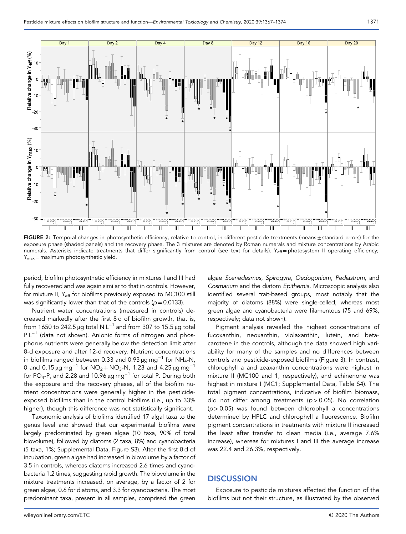

FIGURE 2: Temporal changes in photosynthetic efficiency, relative to control, in different pesticide treatments (means ± standard errors) for the exposure phase (shaded panels) and the recovery phase. The 3 mixtures are denoted by Roman numerals and mixture concentrations by Arabic numerals. Asterisks indicate treatments that differ significantly from control (see text for details). Y<sub>eff</sub> = photosystem II operating efficiency;  $Y_{\text{max}}$  = maximum photosynthetic yield.

period, biofilm photosynthetic efficiency in mixtures I and III had fully recovered and was again similar to that in controls. However, for mixture II, Y<sub>eff</sub> for biofilms previously exposed to MC100 still was significantly lower than that of the controls ( $p = 0.0133$ ).

Nutrient water concentrations (measured in controls) decreased markedly after the first 8 d of biofilm growth, that is, from 1650 to 242.5 µg total N L<sup>-1</sup> and from 307 to 15.5 µg total P L<sup>-1</sup> (data not shown). Anionic forms of nitrogen and phosphorus nutrients were generally below the detection limit after 8‐d exposure and after 12‐d recovery. Nutrient concentrations in biofilms ranged between 0.33 and 0.93 µg mg−<sup>1</sup> for NH4‐N, 0 and 0.15  $\mu$ g mg<sup>-1</sup> for NO<sub>2</sub> + NO<sub>3</sub>-N, 1.23 and 4.25  $\mu$ g mg<sup>-1</sup> for PO<sub>4</sub>-P, and 2.28 and 10.96  $\mu$ g mg<sup>-1</sup> for total P. During both the exposure and the recovery phases, all of the biofilm nutrient concentrations were generally higher in the pesticide‐ exposed biofilms than in the control biofilms (i.e., up to 33% higher), though this difference was not statistically significant.

Taxonomic analysis of biofilms identified 17 algal taxa to the genus level and showed that our experimental biofilms were largely predominated by green algae (10 taxa, 90% of total biovolume), followed by diatoms (2 taxa, 8%) and cyanobacteria (5 taxa, 1%; Supplemental Data, Figure S3). After the first 8 d of incubation, green algae had increased in biovolume by a factor of 3.5 in controls, whereas diatoms increased 2.6 times and cyanobacteria 1.2 times, suggesting rapid growth. The biovolume in the mixture treatments increased, on average, by a factor of 2 for green algae, 0.6 for diatoms, and 3.3 for cyanobacteria. The most predominant taxa, present in all samples, comprised the green

algae Scenedesmus, Spirogyra, Oedogonium, Pediastrum, and Cosmarium and the diatom Epithemia. Microscopic analysis also identified several trait‐based groups, most notably that the majority of diatoms (88%) were single‐celled, whereas most green algae and cyanobacteria were filamentous (75 and 69%, respectively; data not shown).

Pigment analysis revealed the highest concentrations of fucoxanthin, neoxanthin, violaxanthin, lutein, and beta‐ carotene in the controls, although the data showed high variability for many of the samples and no differences between controls and pesticide‐exposed biofilms (Figure 3). In contrast, chlorophyll a and zeaxanthin concentrations were highest in mixture II (MC100 and 1, respectively), and echinenone was highest in mixture I (MC1; Supplemental Data, Table S4). The total pigment concentrations, indicative of biofilm biomass, did not differ among treatments ( $p > 0.05$ ). No correlation  $(p > 0.05)$  was found between chlorophyll a concentrations determined by HPLC and chlorophyll a fluorescence. Biofilm pigment concentrations in treatments with mixture II increased the least after transfer to clean media (i.e., average 7.6% increase), whereas for mixtures I and III the average increase was 22.4 and 26.3%, respectively.

## **DISCUSSION**

Exposure to pesticide mixtures affected the function of the biofilms but not their structure, as illustrated by the observed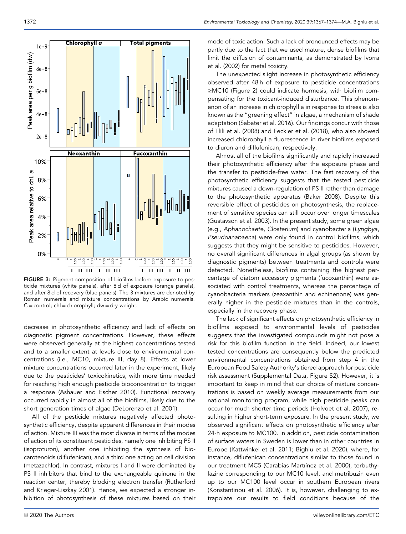

FIGURE 3: Pigment composition of biofilms before exposure to pesticide mixtures (white panels), after 8 d of exposure (orange panels), and after 8 d of recovery (blue panels). The 3 mixtures are denoted by Roman numerals and mixture concentrations by Arabic numerals.  $C =$  control; chl = chlorophyll; dw = dry weight.

decrease in photosynthetic efficiency and lack of effects on diagnostic pigment concentrations. However, these effects were observed generally at the highest concentrations tested and to a smaller extent at levels close to environmental concentrations (i.e., MC10, mixture III, day 8). Effects at lower mixture concentrations occurred later in the experiment, likely due to the pesticides' toxicokinetics, with more time needed for reaching high enough pesticide bioconcentration to trigger a response (Ashauer and Escher 2010). Functional recovery occurred rapidly in almost all of the biofilms, likely due to the short generation times of algae (DeLorenzo et al. 2001).

All of the pesticide mixtures negatively affected photosynthetic efficiency, despite apparent differences in their modes of action. Mixture III was the most diverse in terms of the modes of action of its constituent pesticides, namely one inhibiting PS II (isoproturon), another one inhibiting the synthesis of biocarotenoids (diflufenican), and a third one acting on cell division (metazachlor). In contrast, mixtures I and II were dominated by PS II inhibitors that bind to the exchangeable quinone in the reaction center, thereby blocking electron transfer (Rutherford and Krieger-Liszkay 2001). Hence, we expected a stronger inhibition of photosynthesis of these mixtures based on their mode of toxic action. Such a lack of pronounced effects may be partly due to the fact that we used mature, dense biofilms that limit the diffusion of contaminants, as demonstrated by Ivorra et al. (2002) for metal toxicity.

The unexpected slight increase in photosynthetic efficiency observed after 48 h of exposure to pesticide concentrations ≥MC10 (Figure 2) could indicate hormesis, with biofilm compensating for the toxicant‐induced disturbance. This phenomenon of an increase in chlorophyll a in response to stress is also known as the "greening effect" in algae, a mechanism of shade adaptation (Sabater et al. 2016). Our findings concur with those of Tlili et al. (2008) and Feckler et al. (2018), who also showed increased chlorophyll a fluorescence in river biofilms exposed to diuron and diflufenican, respectively.

Almost all of the biofilms significantly and rapidly increased their photosynthetic efficiency after the exposure phase and the transfer to pesticide‐free water. The fast recovery of the photosynthetic efficiency suggests that the tested pesticide mixtures caused a down‐regulation of PS II rather than damage to the photosynthetic apparatus (Baker 2008). Despite this reversible effect of pesticides on photosynthesis, the replacement of sensitive species can still occur over longer timescales (Gustavson et al. 2003). In the present study, some green algae (e.g., Aphanochaete, Closterium) and cyanobacteria (Lyngbya, Pseudoanabaena) were only found in control biofilms, which suggests that they might be sensitive to pesticides. However, no overall significant differences in algal groups (as shown by diagnostic pigments) between treatments and controls were detected. Nonetheless, biofilms containing the highest percentage of diatom accessory pigments (fucoxanthin) were associated with control treatments, whereas the percentage of cyanobacteria markers (zeaxanthin and echinenone) was generally higher in the pesticide mixtures than in the controls, especially in the recovery phase.

The lack of significant effects on photosynthetic efficiency in biofilms exposed to environmental levels of pesticides suggests that the investigated compounds might not pose a risk for this biofilm function in the field. Indeed, our lowest tested concentrations are consequently below the predicted environmental concentrations obtained from step 4 in the European Food Safety Authority's tiered approach for pesticide risk assessment (Supplemental Data, Figure S2). However, it is important to keep in mind that our choice of mixture concentrations is based on weekly average measurements from our national monitoring program, while high pesticide peaks can occur for much shorter time periods (Holvoet et al. 2007), resulting in higher short-term exposure. In the present study, we observed significant effects on photosynthetic efficiency after 24‐h exposure to MC100. In addition, pesticide contamination of surface waters in Sweden is lower than in other countries in Europe (Kattwinkel et al. 2011; Bighiu et al. 2020), where, for instance, diflufenican concentrations similar to those found in our treatment MC5 (Carabias Martıínez et al. 2000), terbuthylazine corresponding to our MC10 level, and metribuzin even up to our MC100 level occur in southern European rivers (Konstantinou et al. 2006). It is, however, challenging to extrapolate our results to field conditions because of the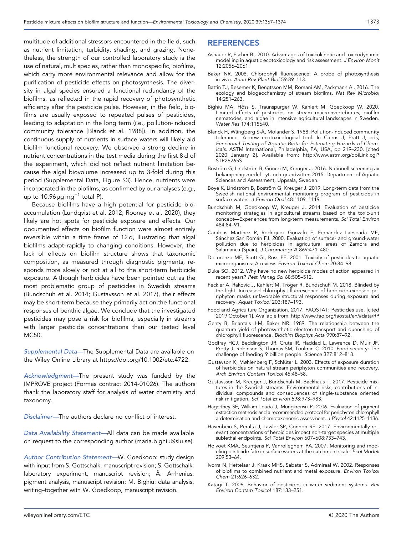multitude of additional stressors encountered in the field, such as nutrient limitation, turbidity, shading, and grazing. Nonetheless, the strength of our controlled laboratory study is the use of natural, multispecies, rather than monospecific, biofilms, which carry more environmental relevance and allow for the purification of pesticide effects on photosynthesis. The diversity in algal species ensured a functional redundancy of the biofilms, as reflected in the rapid recovery of photosynthetic efficiency after the pesticide pulse. However, in the field, biofilms are usually exposed to repeated pulses of pesticides, leading to adaptation in the long term (i.e., pollution‐induced community tolerance [Blanck et al. 1988]). In addition, the continuous supply of nutrients in surface waters will likely aid biofilm functional recovery. We observed a strong decline in nutrient concentrations in the test media during the first 8 d of the experiment, which did not reflect nutrient limitation because the algal biovolume increased up to 3‐fold during this period (Supplemental Data, Figure S3). Hence, nutrients were incorporated in the biofilms, as confirmed by our analyses (e.g., up to 10.96  $\mu$ g mg<sup>-1</sup> total P).

Because biofilms have a high potential for pesticide bioaccumulation (Lundqvist et al. 2012; Rooney et al. 2020), they likely are hot spots for pesticide exposure and effects. Our documented effects on biofilm function were almost entirely reversible within a time frame of 12 d, illustrating that algal biofilms adapt rapidly to changing conditions. However, the lack of effects on biofilm structure shows that taxonomic composition, as measured through diagnostic pigments, responds more slowly or not at all to the short‐term herbicide exposure. Although herbicides have been pointed out as the most problematic group of pesticides in Swedish streams (Bundschuh et al. 2014; Gustavsson et al. 2017), their effects may be short‐term because they primarily act on the functional responses of benthic algae. We conclude that the investigated pesticides may pose a risk for biofilms, especially in streams with larger pesticide concentrations than our tested level MC50.

Supplemental Data—The Supplemental Data are available on the Wiley Online Library at https://doi.org/10.1002/[etc.4722](https://doi.org/10.1002/etc.4722).

Acknowledgment—The present study was funded by the IMPROVE project (Formas contract 2014‐01026). The authors thank the laboratory staff for analysis of water chemistry and taxonomy.

Disclaimer—The authors declare no conflict of interest.

Data Availability Statement—All data can be made available on request to the corresponding author ([maria.bighiu@slu.se](mailto:maria.bighiu@slu.se)).

Author Contribution Statement—W. Goedkoop: study design with input from S. Gottschalk, manuscript revision; S. Gottschalk: laboratory experiment, manuscript revision; Å. Arrhenius: pigment analysis, manuscript revision; M. Bighiu: data analysis, writing–together with W. Goedkoop, manuscript revision.

# REFERENCES

- Ashauer R, Escher BI. 2010. Advantages of toxicokinetic and toxicodynamic modelling in aquatic ecotoxicology and risk assessment. J Environ Monit 12:2056–2061.
- Baker NR. 2008. Chlorophyll fluorescence: A probe of photosynthesis in vivo. Annu Rev Plant Biol 59:89–113.
- Battin TJ, Besemer K, Bengtsson MM, Romani AM, Packmann AI. 2016. The ecology and biogeochemistry of stream biofilms. Nat Rev Microbiol 14:251–263.
- Bighiu MA, Höss S, Traunspurger W, Kahlert M, Goedkoop W. 2020. Limited effects of pesticides on stream macroinvertebrates, biofilm nematodes, and algae in intensive agricultural landscapes in Sweden. Water Res 174:115640.
- Blanck H, Wängberg S‐Å, Molander S. 1988. Pollution‐induced community tolerance—A new ecotoxicological tool. In Cairns J, Pratt J, eds, Functional Testing of Aquatic Biota for Estimating Hazards of Chemicals. ASTM International, Philadelphia, PA, USA, pp 219–230. [cited 2020 January 2]. Available from: http://[www.astm.org](http://www.astm.org/doiLink.cgi?STP26265S)/doiLink.cgi? [STP26265S](http://www.astm.org/doiLink.cgi?STP26265S)
- Boström G, Lindström B, Gönczi M, Kreuger J. 2016. Nationell screening av bekämpningsmedel i yt‐ och grundvatten 2015. Department of Aquatic Sciences and Assessment, Uppsala, Sweden.
- Boye K, Lindström B, Boström G, Kreuger J. 2019. Long‐term data from the Swedish national environmental monitoring program of pesticides in surface waters. J Environ Qual 48:1109–1119.
- Bundschuh M, Goedkoop W, Kreuger J. 2014. Evaluation of pesticide monitoring strategies in agricultural streams based on the toxic‐unit concept—Experiences from long‐term measurements. Sci Total Environ 484:84–91.
- Carabias Martínez R, Rodríguez Gonzalo E, Fernández Laespada ME, Sánchez San Román FJ. 2000. Evaluation of surface‐ and ground‐water pollution due to herbicides in agricultural areas of Zamora and Salamanca (Spain). J Chromatogr A 869:471–480.
- DeLorenzo ME, Scott GI, Ross PE. 2001. Toxicity of pesticides to aquatic microorganisms: A review. Environ Toxicol Chem 20:84–98.
- Duke SO. 2012. Why have no new herbicide modes of action appeared in recent years? Pest Manag Sci 68:505–512.
- Feckler A, Rakovic J, Kahlert M, Tröger R, Bundschuh M. 2018. Blinded by the light: Increased chlorophyll fluorescence of herbicide‐exposed periphyton masks unfavorable structural responses during exposure and recovery. Aquat Toxicol 203:187–193.
- Food and Agriculture Organization. 2017. FAOSTAT: Pesticides use. [cited 2019 October 1]. Available from: http://[www.fao.org](http://www.fao.org/faostat/en/#data/RP)/faostat/en/#data/RP
- Genty B, Briantais J‐M, Baker NR. 1989. The relationship between the quantum yield of photosynthetic electron transport and quenching of chlorophyll fluorescence. Biochim Biophys Acta 990:87–92.
- Godfray HCJ, Beddington JR, Crute IR, Haddad L, Lawrence D, Muir JF, Pretty J, Robinson S, Thomas SM, Toulmin C. 2010. Food security: The challenge of feeding 9 billion people. Science 327:812–818.
- Gustavson K, Møhlenberg F, Schlüter L. 2003. Effects of exposure duration of herbicides on natural stream periphyton communities and recovery. Arch Environ Contam Toxicol 45:48–58.
- Gustavsson M, Kreuger J, Bundschuh M, Backhaus T. 2017. Pesticide mixtures in the Swedish streams: Environmental risks, contributions of individual compounds and consequences of single‐substance oriented risk mitigation. Sci Total Environ 598:973–983.
- Hagerthey SE, William Louda J, Mongkronsri P. 2006. Evaluation of pigment extraction methods and a recommended protocol for periphyton chlorophyll a determination and chemotaxonomic assessment. J Phycol 42:1125-1136.
- Hasenbein S, Peralta J, Lawler SP, Connon RE. 2017. Environmentally relevant concentrations of herbicides impact non‐target species at multiple sublethal endpoints. Sci Total Environ 607–608:733–743.
- Holvoet KMA, Seuntjens P, Vanrolleghem PA. 2007. Monitoring and modeling pesticide fate in surface waters at the catchment scale. Ecol Modell 209:53–64.
- Ivorra N, Hettelaar J, Kraak MHS, Sabater S, Admiraal W. 2002. Responses of biofilms to combined nutrient and metal exposure. Environ Toxicol Chem 21:626–632.
- Katagi T. 2006. Behavior of pesticides in water–sediment systems. Rev Environ Contam Toxicol 187:133–251.